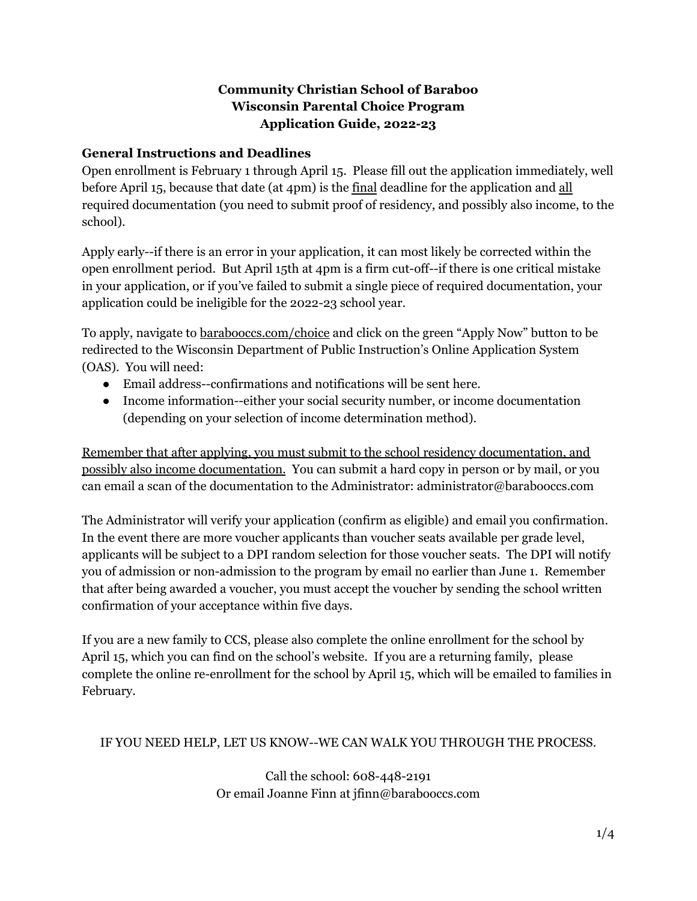# **Community Christian School of Baraboo Wisconsin Parental Choice Program Application Guide, 2022-23**

### **General Instructions and Deadlines**

Open enrollment is February 1 through April 15. Please fill out the application immediately, well before April 15, because that date (at 4pm) is the final deadline for the application and all required documentation (you need to submit proof of residency, and possibly also income, to the school).

Apply early--if there is an error in your application, it can most likely be corrected within the open enrollment period. But April 15th at 4pm is a firm cut-off--if there is one critical mistake in your application, or if you've failed to submit a single piece of required documentation, your application could be ineligible for the 2022-23 school year.

To apply, navigate to barabooccs.com/choice and click on the green "Apply Now" button to be redirected to the Wisconsin Department of Public Instruction's Online Application System (OAS). You will need:

- Email address--confirmations and notifications will be sent here.
- Income information--either your social security number, or income documentation (depending on your selection of income determination method).

Remember that after applying, you must submit to the school residency documentation, and possibly also income documentation. You can submit a hard copy in person or by mail, or you can email a scan of the documentation to the Administrator: administrator@barabooccs.com

The Administrator will verify your application (confirm as eligible) and email you confirmation. In the event there are more voucher applicants than voucher seats available per grade level, applicants will be subject to a DPI random selection for those voucher seats. The DPI will notify you of admission or non-admission to the program by email no earlier than June 1. Remember that after being awarded a voucher, you must accept the voucher by sending the school written confirmation of your acceptance within five days.

If you are a new family to CCS, please also complete the online enrollment for the school by April 15, which you can find on the school's website. If you are a returning family, please complete the online re-enrollment for the school by April 15, which will be emailed to families in February.

#### IF YOU NEED HELP, LET US KNOW--WE CAN WALK YOU THROUGH THE PROCESS.

Call the school: 608-448-2191 Or email Joanne Finn at jfinn@barabooccs.com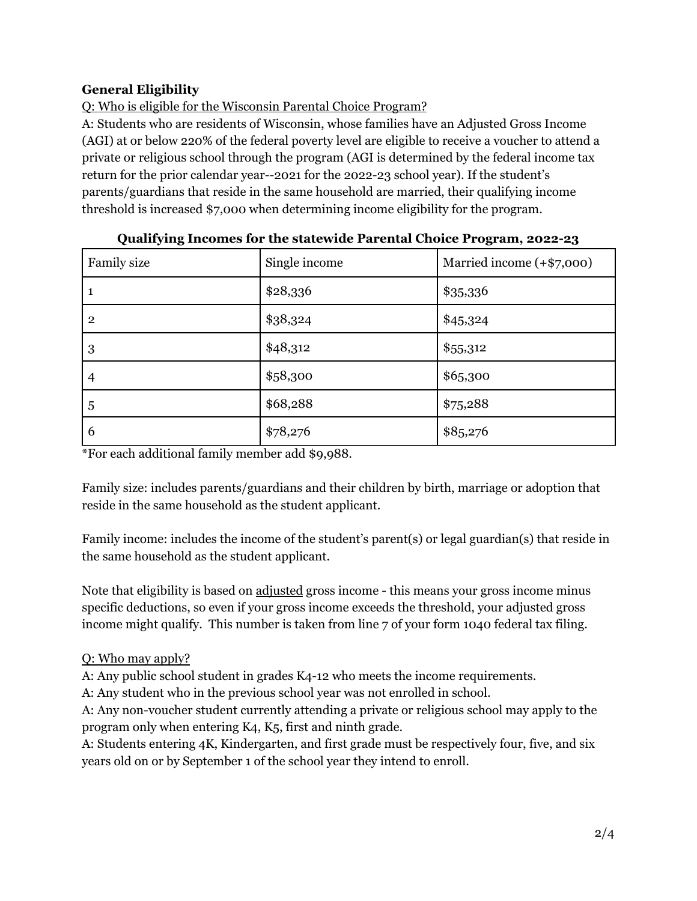# **General Eligibility**

Q: Who is eligible for the Wisconsin Parental Choice Program?

A: Students who are residents of Wisconsin, whose families have an Adjusted Gross Income (AGI) at or below 220% of the federal poverty level are eligible to receive a voucher to attend a private or religious school through the program (AGI is determined by the federal income tax return for the prior calendar year--2021 for the 2022-23 school year). If the student's parents/guardians that reside in the same household are married, their qualifying income threshold is increased \$7,000 when determining income eligibility for the program.

| Family size    | Single income | Married income (+\$7,000) |
|----------------|---------------|---------------------------|
|                | \$28,336      | \$35,336                  |
| $\overline{2}$ | \$38,324      | \$45,324                  |
| 3              | \$48,312      | \$55,312                  |
| $\overline{4}$ | \$58,300      | \$65,300                  |
| 5              | \$68,288      | \$75,288                  |
| 6              | \$78,276      | \$85,276                  |

|  | Qualifying Incomes for the statewide Parental Choice Program, 2022-23 |  |  |
|--|-----------------------------------------------------------------------|--|--|
|  |                                                                       |  |  |

\*For each additional family member add \$9,988.

Family size: includes parents/guardians and their children by birth, marriage or adoption that reside in the same household as the student applicant.

Family income: includes the income of the student's parent(s) or legal guardian(s) that reside in the same household as the student applicant.

Note that eligibility is based on adjusted gross income - this means your gross income minus specific deductions, so even if your gross income exceeds the threshold, your adjusted gross income might qualify. This number is taken from line 7 of your form 1040 federal tax filing.

# Q: Who may apply?

A: Any public school student in grades K4-12 who meets the income requirements.

A: Any student who in the previous school year was not enrolled in school.

A: Any non-voucher student currently attending a private or religious school may apply to the program only when entering K4, K5, first and ninth grade.

A: Students entering 4K, Kindergarten, and first grade must be respectively four, five, and six years old on or by September 1 of the school year they intend to enroll.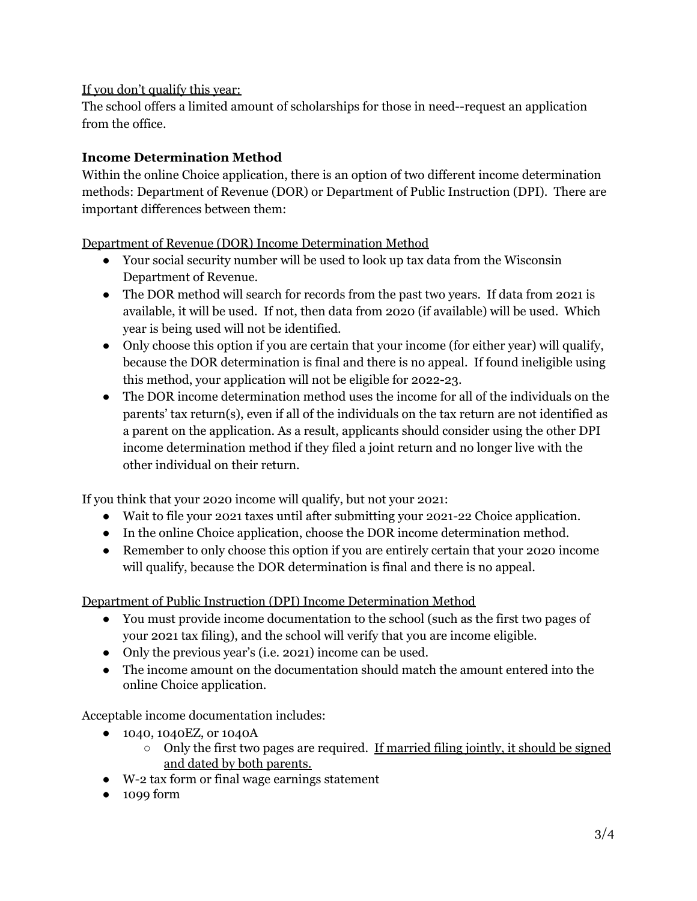#### If you don't qualify this year:

The school offers a limited amount of scholarships for those in need--request an application from the office.

### **Income Determination Method**

Within the online Choice application, there is an option of two different income determination methods: Department of Revenue (DOR) or Department of Public Instruction (DPI). There are important differences between them:

Department of Revenue (DOR) Income Determination Method

- Your social security number will be used to look up tax data from the Wisconsin Department of Revenue.
- The DOR method will search for records from the past two years. If data from 2021 is available, it will be used. If not, then data from 2020 (if available) will be used. Which year is being used will not be identified.
- Only choose this option if you are certain that your income (for either year) will qualify, because the DOR determination is final and there is no appeal. If found ineligible using this method, your application will not be eligible for 2022-23.
- The DOR income determination method uses the income for all of the individuals on the parents' tax return(s), even if all of the individuals on the tax return are not identified as a parent on the application. As a result, applicants should consider using the other DPI income determination method if they filed a joint return and no longer live with the other individual on their return.

If you think that your 2020 income will qualify, but not your 2021:

- Wait to file your 2021 taxes until after submitting your 2021-22 Choice application.
- In the online Choice application, choose the DOR income determination method.
- Remember to only choose this option if you are entirely certain that your 2020 income will qualify, because the DOR determination is final and there is no appeal.

Department of Public Instruction (DPI) Income Determination Method

- You must provide income documentation to the school (such as the first two pages of your 2021 tax filing), and the school will verify that you are income eligible.
- Only the previous year's (i.e. 2021) income can be used.
- The income amount on the documentation should match the amount entered into the online Choice application.

Acceptable income documentation includes:

- 1040, 1040EZ, or 1040A
	- $\circ$  Only the first two pages are required. If married filing jointly, it should be signed and dated by both parents.
- W-2 tax form or final wage earnings statement
- 1099 form